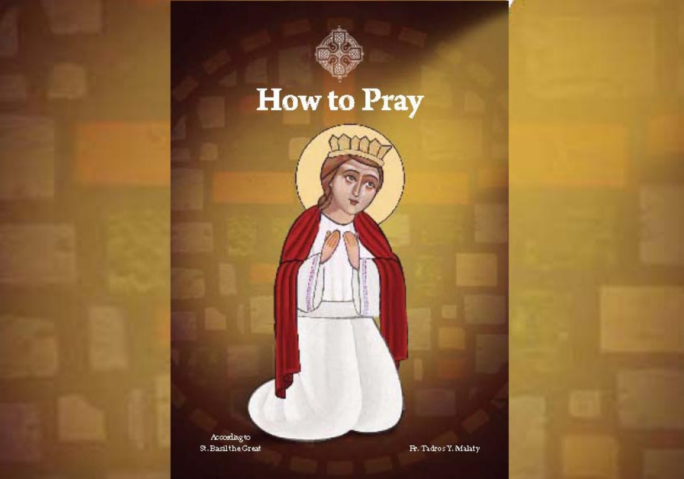

# How to Pray

According to St. Basilthe Great

Fr. Tadros Y. Malaty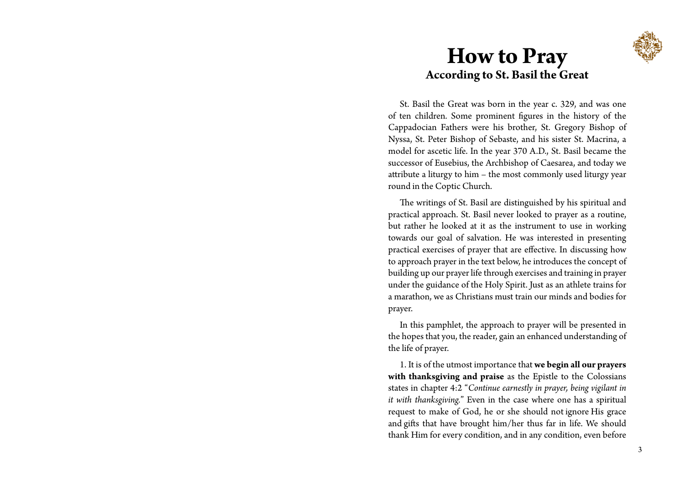

## **How to Pray According to St. Basil the Great**

St. Basil the Great was born in the year c. 329, and was one of ten children. Some prominent figures in the history of the Cappadocian Fathers were his brother, St. Gregory Bishop of Nyssa, St. Peter Bishop of Sebaste, and his sister St. Macrina, a model for ascetic life. In the year 370 A.D., St. Basil became the successor of Eusebius, the Archbishop of Caesarea, and today we attribute a liturgy to him – the most commonly used liturgy year round in the Coptic Church.

The writings of St. Basil are distinguished by his spiritual and practical approach. St. Basil never looked to prayer as a routine, but rather he looked at it as the instrument to use in working towards our goal of salvation. He was interested in presenting practical exercises of prayer that are effective. In discussing how to approach prayer in the text below, he introduces the concept of building up our prayer life through exercises and training in prayer under the guidance of the Holy Spirit. Just as an athlete trains for a marathon, we as Christians must train our minds and bodies for prayer.

In this pamphlet, the approach to prayer will be presented in the hopes that you, the reader, gain an enhanced understanding of the life of prayer.

1. It is of the utmost importance that **we begin all our prayers with thanksgiving and praise** as the Epistle to the Colossians states in chapter 4:2 "*Continue earnestly in prayer, being vigilant in it with thanksgiving.*" Even in the case where one has a spiritual request to make of God, he or she should not ignore His grace and gifts that have brought him/her thus far in life. We should thank Him for every condition, and in any condition, even before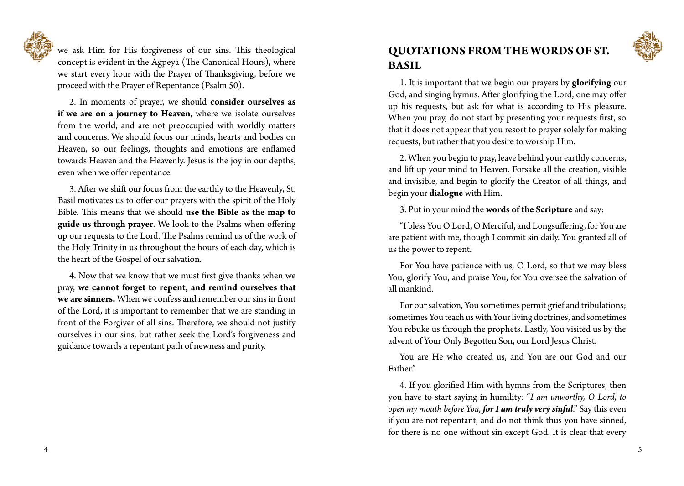we ask Him for His forgiveness of our sins. This theological concept is evident in the Agpeya (The Canonical Hours), where we start every hour with the Prayer of Thanksgiving, before we proceed with the Prayer of Repentance (Psalm 50).

2. In moments of prayer, we should **consider ourselves as if we are on a journey to Heaven**, where we isolate ourselves from the world, and are not preoccupied with worldly matters and concerns. We should focus our minds, hearts and bodies on Heaven, so our feelings, thoughts and emotions are enflamed towards Heaven and the Heavenly. Jesus is the joy in our depths, even when we offer repentance.

3. After we shift our focus from the earthly to the Heavenly, St. Basil motivates us to offer our prayers with the spirit of the Holy Bible. This means that we should **use the Bible as the map to guide us through prayer**. We look to the Psalms when offering up our requests to the Lord. The Psalms remind us of the work of the Holy Trinity in us throughout the hours of each day, which is the heart of the Gospel of our salvation.

4. Now that we know that we must first give thanks when we pray, **we cannot forget to repent, and remind ourselves that we are sinners.** When we confess and remember our sins in front of the Lord, it is important to remember that we are standing in front of the Forgiver of all sins. Therefore, we should not justify ourselves in our sins, but rather seek the Lord's forgiveness and guidance towards a repentant path of newness and purity.

### **QUOTATIONS FROM THE WORDS OF ST. BASIL**

1. It is important that we begin our prayers by **glorifying** our God, and singing hymns. After glorifying the Lord, one may offer up his requests, but ask for what is according to His pleasure. When you pray, do not start by presenting your requests first, so that it does not appear that you resort to prayer solely for making requests, but rather that you desire to worship Him.

2. When you begin to pray, leave behind your earthly concerns, and lift up your mind to Heaven. Forsake all the creation, visible and invisible, and begin to glorify the Creator of all things, and begin your **dialogue** with Him.

3. Put in your mind the **words of the Scripture** and say:

"I bless You O Lord, O Merciful, and Longsuffering, for You are are patient with me, though I commit sin daily. You granted all of us the power to repent.

For You have patience with us, O Lord, so that we may bless You, glorify You, and praise You, for You oversee the salvation of all mankind.

For our salvation, You sometimes permit grief and tribulations; sometimes You teach us with Your living doctrines, and sometimes You rebuke us through the prophets. Lastly, You visited us by the advent of Your Only Begotten Son, our Lord Jesus Christ.

You are He who created us, and You are our God and our Father."

4. If you glorified Him with hymns from the Scriptures, then you have to start saying in humility: "*I am unworthy, O Lord, to open my mouth before You, for I am truly very sinful*." Say this even if you are not repentant, and do not think thus you have sinned, for there is no one without sin except God. It is clear that every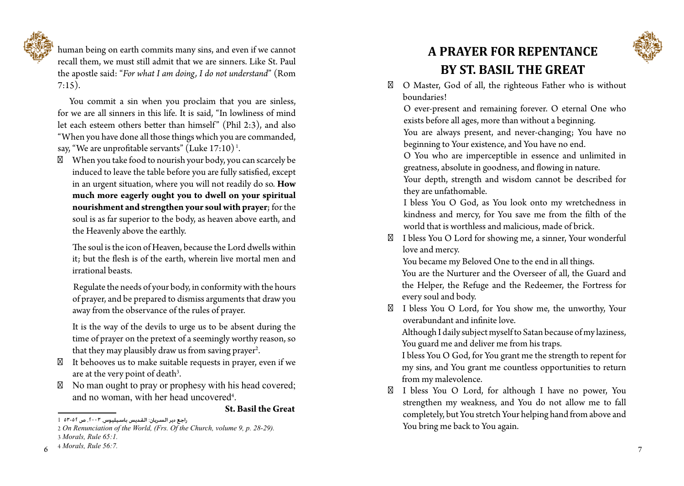

human being on earth commits many sins, and even if we cannot recall them, we must still admit that we are sinners. Like St. Paul the apostle said: "*For what I am doing, I do not understand*" (Rom  $7:15$ ).

You commit a sin when you proclaim that you are sinless, for we are all sinners in this life. It is said, "In lowliness of mind let each esteem others better than himself" (Phil 2:3), and also "When you have done all those things which you are commanded, say, "We are unprofitable servants" (Luke 17:10) 1 .

When you take food to nourish your body, you can scarcely be induced to leave the table before you are fully satisfied, except in an urgent situation, where you will not readily do so. **How much more eagerly ought you to dwell on your spiritual nourishment and strengthen your soul with prayer**; for the soul is as far superior to the body, as heaven above earth, and the Heavenly above the earthly.

The soul is the icon of Heaven, because the Lord dwells within it; but the flesh is of the earth, wherein live mortal men and irrational beasts.

Regulate the needs of your body, in conformity with the hours of prayer, and be prepared to dismiss arguments that draw you away from the observance of the rules of prayer.

It is the way of the devils to urge us to be absent during the time of prayer on the pretext of a seemingly worthy reason, so that they may plausibly draw us from saving prayer 2 .

It behooves us to make suitable requests in prayer, even if we are at the very point of death 3 .

No man ought to pray or prophesy with his head covered; and no woman, with her head uncovered 4 .

#### **St. Basil the Great**

## **A PRAYER FOR REPENTANCE BY ST. BASIL THE GREAT**



O Master, God of all, the righteous Father who is without boundaries!

O ever-present and remaining forever. O eternal One who exists before all ages, more than without a beginning. You are always present, and never-changing; You have no beginning to Your existence, and You have no end.

O You who are imperceptible in essence and unlimited in greatness, absolute in goodness, and flowing in nature. Your depth, strength and wisdom cannot be described for

they are unfathomable.

I bless You O God, as You look onto my wretchedness in kindness and mercy, for You save me from the filth of the world that is worthless and malicious, made of brick.

I bless You O Lord for showing me, a sinner, Your wonderful love and mercy.

You became my Beloved One to the end in all things.

You are the Nurturer and the Overseer of all, the Guard and the Helper, the Refuge and the Redeemer, the Fortress for every soul and body.

I bless You O Lord, for You show me, the unworthy, Your overabundant and infinite love.

Although I daily subject myself to Satan because of my laziness, You guard me and deliver me from his traps.

I bless You O God, for You grant me the strength to repent for my sins, and You grant me countless opportunities to return from my malevolence.

I bless You O Lord, for although I have no power, You strengthen my weakness, and You do not allow me to fall completely, but You stretch Your helping hand from above and You bring me back to You again.

راجع دير السريان: القديس باسيليوس ٢٠٠٣. ص ٥٢-٥٢ 1

<sup>2</sup> *On Renunciation of the World, (Frs. Of the Church, volume 9, p. 28-29).*

<sup>3</sup> *Morals, Rule 65:1.*

<sup>6</sup> 4 *Morals, Rule 56:7.*